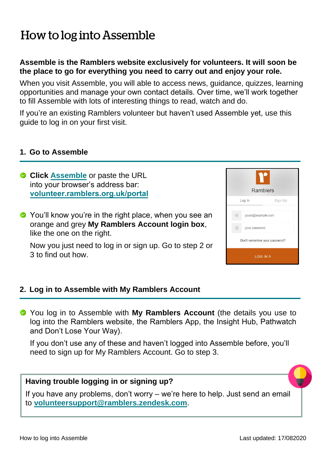# How to log into Assemble

# **Assemble is the Ramblers website exclusively for volunteers. It will soon be the place to go for everything you need to carry out and enjoy your role.**

When you visit Assemble, you will able to access news, guidance, quizzes, learning opportunities and manage your own contact details. Over time, we'll work together to fill Assemble with lots of interesting things to read, watch and do.

If you're an existing Ramblers volunteer but haven't used Assemble yet, use this guide to log in on your first visit.

#### **1. Go to Assemble**

- **Click [Assemble](https://volunteer.ramblers.org.uk/portal/home)** or paste the URL into your browser's address bar: **[volunteer.ramblers.org.uk/portal](https://volunteer.ramblers.org.uk/portal/home)**
- ◆ You'll know you're in the right place, when you see an orange and grey **My Ramblers Account login box**, like the one on the right.

Now you just need to log in or sign up. Go to step 2 or 3 to find out how.

| Ramblers                      |                   |         |  |
|-------------------------------|-------------------|---------|--|
|                               | Log In            | Sign Up |  |
| $\Xi^0$                       | yours@example.com |         |  |
| $\bigoplus$                   | your password     |         |  |
| Don't remember your password? |                   |         |  |
| LOG IN >                      |                   |         |  |

## **2. Log in to Assemble with My Ramblers Account**

You log in to Assemble with **My Ramblers Account** (the details you use to log into the Ramblers website, the Ramblers App, the Insight Hub, Pathwatch and Don't Lose Your Way).

If you don't use any of these and haven't logged into Assemble before, you'll need to sign up for My Ramblers Account. Go to step 3.